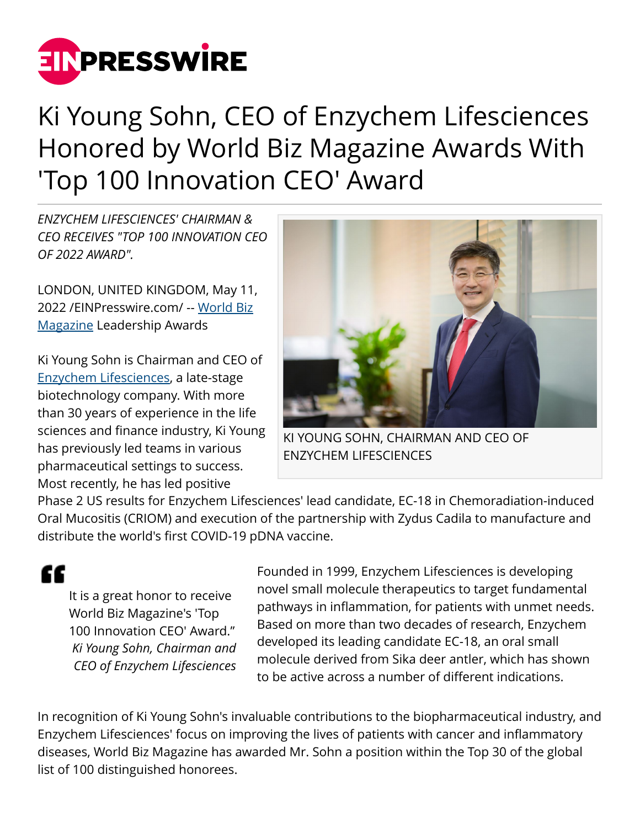

## Ki Young Sohn, CEO of Enzychem Lifesciences Honored by World Biz Magazine Awards With 'Top 100 Innovation CEO' Award

*ENZYCHEM LIFESCIENCES' CHAIRMAN & CEO RECEIVES "TOP 100 INNOVATION CEO OF 2022 AWARD".*

LONDON, UNITED KINGDOM, May 11, 2022 /[EINPresswire.com](http://www.einpresswire.com)/ -- [World Biz](http://www.worldbizmagazine.net) [Magazine](http://www.worldbizmagazine.net) Leadership Awards

Ki Young Sohn is Chairman and CEO of [Enzychem Lifesciences](https://www.enzychem.com/), a late-stage biotechnology company. With more than 30 years of experience in the life sciences and finance industry, Ki Young has previously led teams in various pharmaceutical settings to success. Most recently, he has led positive



KI YOUNG SOHN, CHAIRMAN AND CEO OF ENZYCHEM LIFESCIENCES

Phase 2 US results for Enzychem Lifesciences' lead candidate, EC-18 in Chemoradiation-induced Oral Mucositis (CRIOM) and execution of the partnership with Zydus Cadila to manufacture and distribute the world's first COVID-19 pDNA vaccine.

It is a great honor to receive World Biz Magazine's 'Top 100 Innovation CEO' Award." *Ki Young Sohn, Chairman and CEO of Enzychem Lifesciences*

"

Founded in 1999, Enzychem Lifesciences is developing novel small molecule therapeutics to target fundamental pathways in inflammation, for patients with unmet needs. Based on more than two decades of research, Enzychem developed its leading candidate EC-18, an oral small molecule derived from Sika deer antler, which has shown to be active across a number of different indications.

In recognition of Ki Young Sohn's invaluable contributions to the biopharmaceutical industry, and Enzychem Lifesciences' focus on improving the lives of patients with cancer and inflammatory diseases, World Biz Magazine has awarded Mr. Sohn a position within the Top 30 of the global list of 100 distinguished honorees.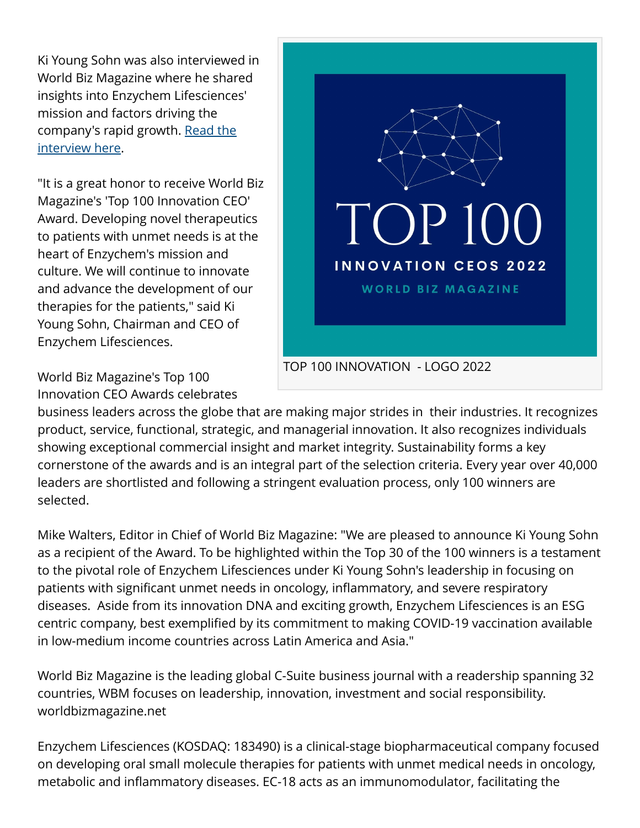Ki Young Sohn was also interviewed in World Biz Magazine where he shared insights into Enzychem Lifesciences' mission and factors driving the company's rapid growth. [Read the](https://www.worldbizmagazine.net/post/ki-young-sohn-chairman-ceo-of-enzychem-lifesciences-interview-with-wbm-top-100-innovation-ceo) [interview here.](https://www.worldbizmagazine.net/post/ki-young-sohn-chairman-ceo-of-enzychem-lifesciences-interview-with-wbm-top-100-innovation-ceo)

"It is a great honor to receive World Biz Magazine's 'Top 100 Innovation CEO' Award. Developing novel therapeutics to patients with unmet needs is at the heart of Enzychem's mission and culture. We will continue to innovate and advance the development of our therapies for the patients," said Ki Young Sohn, Chairman and CEO of Enzychem Lifesciences.



World Biz Magazine's Top 100 Innovation CEO Awards celebrates

business leaders across the globe that are making major strides in their industries. It recognizes product, service, functional, strategic, and managerial innovation. It also recognizes individuals showing exceptional commercial insight and market integrity. Sustainability forms a key cornerstone of the awards and is an integral part of the selection criteria. Every year over 40,000 leaders are shortlisted and following a stringent evaluation process, only 100 winners are selected.

Mike Walters, Editor in Chief of World Biz Magazine: "We are pleased to announce Ki Young Sohn as a recipient of the Award. To be highlighted within the Top 30 of the 100 winners is a testament to the pivotal role of Enzychem Lifesciences under Ki Young Sohn's leadership in focusing on patients with significant unmet needs in oncology, inflammatory, and severe respiratory diseases. Aside from its innovation DNA and exciting growth, Enzychem Lifesciences is an ESG centric company, best exemplified by its commitment to making COVID-19 vaccination available in low-medium income countries across Latin America and Asia."

World Biz Magazine is the leading global C-Suite business journal with a readership spanning 32 countries, WBM focuses on leadership, innovation, investment and social responsibility. worldbizmagazine.net

Enzychem Lifesciences (KOSDAQ: 183490) is a clinical-stage biopharmaceutical company focused on developing oral small molecule therapies for patients with unmet medical needs in oncology, metabolic and inflammatory diseases. EC-18 acts as an immunomodulator, facilitating the